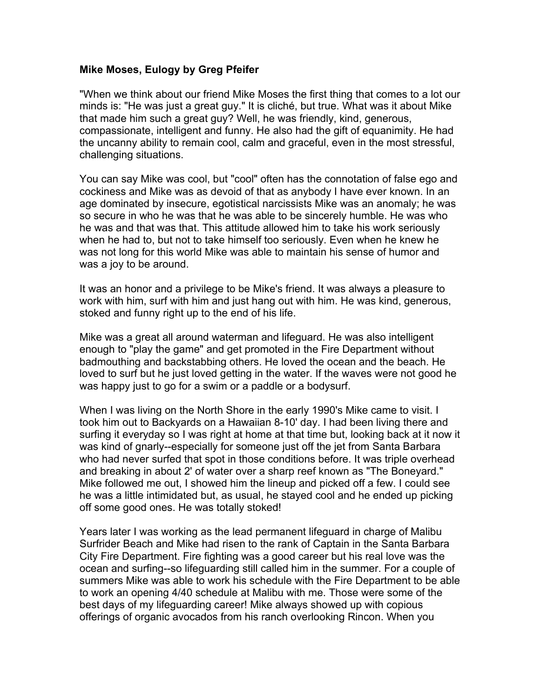## **Mike Moses, Eulogy by Greg Pfeifer**

"When we think about our friend Mike Moses the first thing that comes to a lot our minds is: "He was just a great guy." It is cliché, but true. What was it about Mike that made him such a great guy? Well, he was friendly, kind, generous, compassionate, intelligent and funny. He also had the gift of equanimity. He had the uncanny ability to remain cool, calm and graceful, even in the most stressful, challenging situations.

You can say Mike was cool, but "cool" often has the connotation of false ego and cockiness and Mike was as devoid of that as anybody I have ever known. In an age dominated by insecure, egotistical narcissists Mike was an anomaly; he was so secure in who he was that he was able to be sincerely humble. He was who he was and that was that. This attitude allowed him to take his work seriously when he had to, but not to take himself too seriously. Even when he knew he was not long for this world Mike was able to maintain his sense of humor and was a joy to be around.

It was an honor and a privilege to be Mike's friend. It was always a pleasure to work with him, surf with him and just hang out with him. He was kind, generous, stoked and funny right up to the end of his life.

Mike was a great all around waterman and lifeguard. He was also intelligent enough to "play the game" and get promoted in the Fire Department without badmouthing and backstabbing others. He loved the ocean and the beach. He loved to surf but he just loved getting in the water. If the waves were not good he was happy just to go for a swim or a paddle or a bodysurf.

When I was living on the North Shore in the early 1990's Mike came to visit. I took him out to Backyards on a Hawaiian 8-10' day. I had been living there and surfing it everyday so I was right at home at that time but, looking back at it now it was kind of gnarly--especially for someone just off the jet from Santa Barbara who had never surfed that spot in those conditions before. It was triple overhead and breaking in about 2' of water over a sharp reef known as "The Boneyard." Mike followed me out, I showed him the lineup and picked off a few. I could see he was a little intimidated but, as usual, he stayed cool and he ended up picking off some good ones. He was totally stoked!

Years later I was working as the lead permanent lifeguard in charge of Malibu Surfrider Beach and Mike had risen to the rank of Captain in the Santa Barbara City Fire Department. Fire fighting was a good career but his real love was the ocean and surfing--so lifeguarding still called him in the summer. For a couple of summers Mike was able to work his schedule with the Fire Department to be able to work an opening 4/40 schedule at Malibu with me. Those were some of the best days of my lifeguarding career! Mike always showed up with copious offerings of organic avocados from his ranch overlooking Rincon. When you